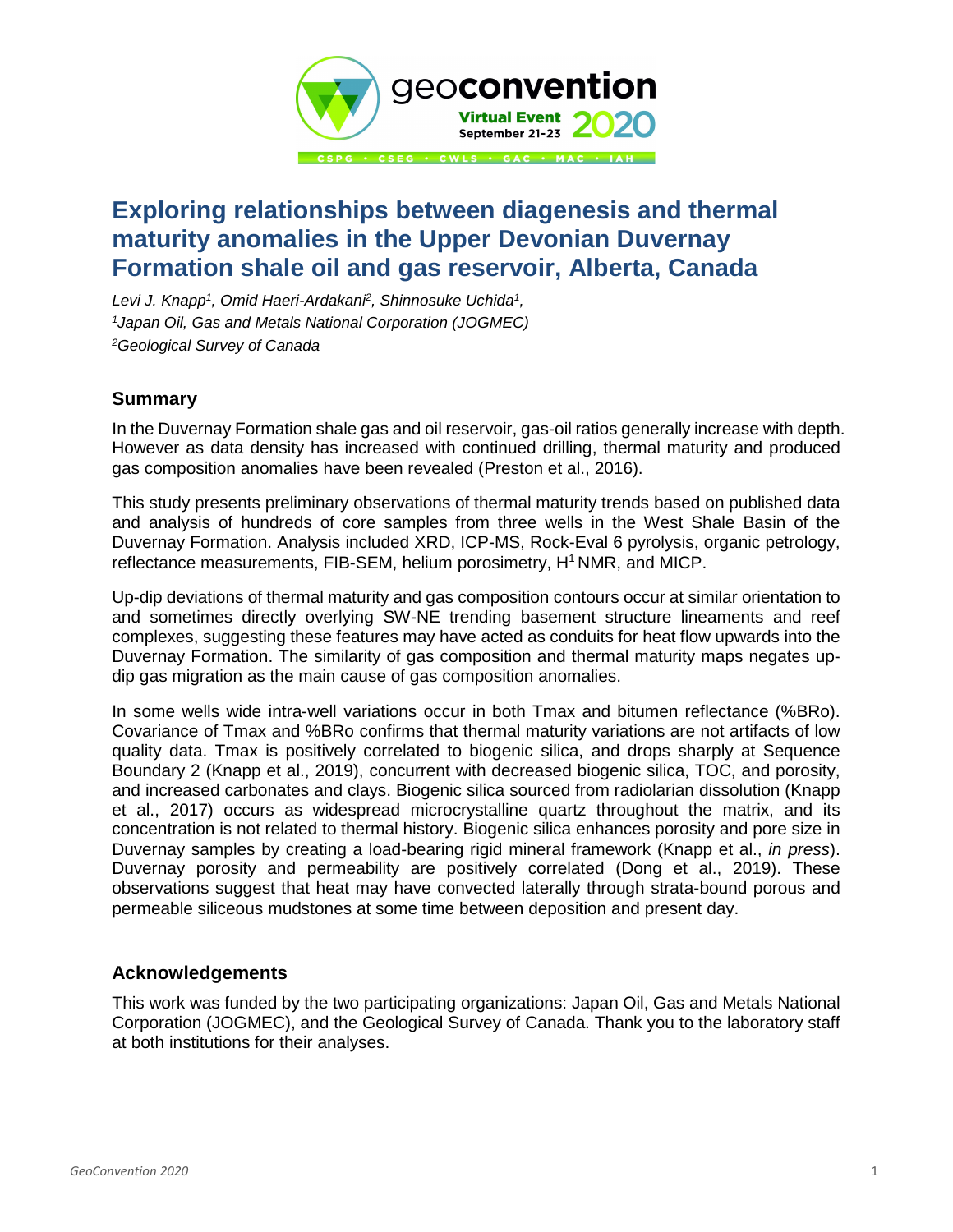

## **Exploring relationships between diagenesis and thermal maturity anomalies in the Upper Devonian Duvernay Formation shale oil and gas reservoir, Alberta, Canada**

*Levi J. Knapp1, Omid Haeri-Ardakani2, Shinnosuke Uchida1, 1Japan Oil, Gas and Metals National Corporation (JOGMEC) 2Geological Survey of Canada*

## **Summary**

In the Duvernay Formation shale gas and oil reservoir, gas-oil ratios generally increase with depth. However as data density has increased with continued drilling, thermal maturity and produced gas composition anomalies have been revealed (Preston et al., 2016).

This study presents preliminary observations of thermal maturity trends based on published data and analysis of hundreds of core samples from three wells in the West Shale Basin of the Duvernay Formation. Analysis included XRD, ICP-MS, Rock-Eval 6 pyrolysis, organic petrology, reflectance measurements, FIB-SEM, helium porosimetry, H<sup>1</sup> NMR, and MICP.

Up-dip deviations of thermal maturity and gas composition contours occur at similar orientation to and sometimes directly overlying SW-NE trending basement structure lineaments and reef complexes, suggesting these features may have acted as conduits for heat flow upwards into the Duvernay Formation. The similarity of gas composition and thermal maturity maps negates updip gas migration as the main cause of gas composition anomalies.

In some wells wide intra-well variations occur in both Tmax and bitumen reflectance (%BRo). Covariance of Tmax and %BRo confirms that thermal maturity variations are not artifacts of low quality data. Tmax is positively correlated to biogenic silica, and drops sharply at Sequence Boundary 2 (Knapp et al., 2019), concurrent with decreased biogenic silica, TOC, and porosity, and increased carbonates and clays. Biogenic silica sourced from radiolarian dissolution (Knapp et al., 2017) occurs as widespread microcrystalline quartz throughout the matrix, and its concentration is not related to thermal history. Biogenic silica enhances porosity and pore size in Duvernay samples by creating a load-bearing rigid mineral framework (Knapp et al., *in press*). Duvernay porosity and permeability are positively correlated (Dong et al., 2019). These observations suggest that heat may have convected laterally through strata-bound porous and permeable siliceous mudstones at some time between deposition and present day.

## **Acknowledgements**

This work was funded by the two participating organizations: Japan Oil, Gas and Metals National Corporation (JOGMEC), and the Geological Survey of Canada. Thank you to the laboratory staff at both institutions for their analyses.